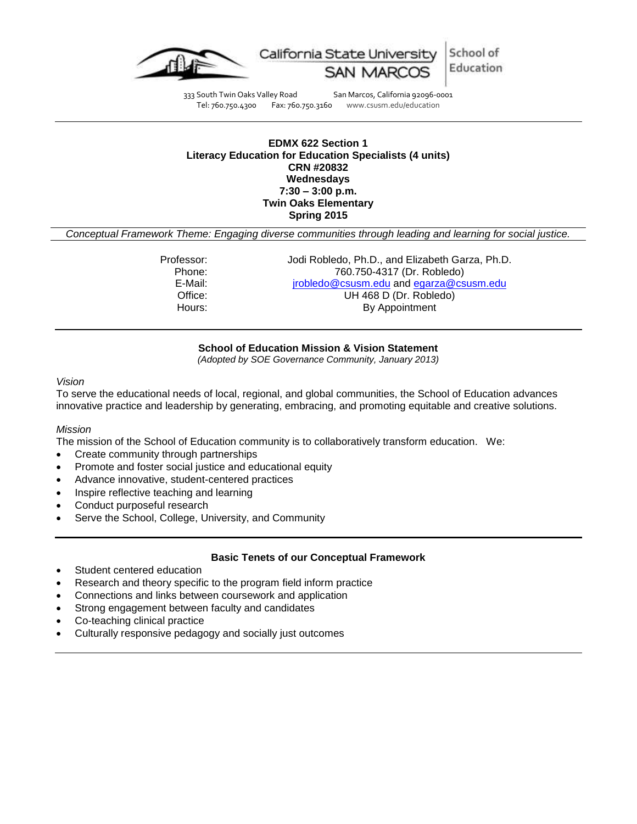

School of California State University Education

333 South Twin Oaks Valley Road San Marcos, California 92096-0001<br>Tel: 760.750.4300 Fax: 760.750.3160 www.csusm.edu/education www.csusm.edu/education

#### **EDMX 622 Section 1 Literacy Education for Education Specialists (4 units) CRN #20832 Wednesdays 7:30 – 3:00 p.m. Twin Oaks Elementary Spring 2015**

*Conceptual Framework Theme: Engaging diverse communities through leading and learning for social justice.*

| Professor: | Jodi Robledo, Ph.D., and Elizabeth Garza, Ph.D. |
|------------|-------------------------------------------------|
| Phone:     | 760.750-4317 (Dr. Robledo)                      |
| E-Mail:    | jrobledo@csusm.edu and egarza@csusm.edu         |
| Office:    | UH 468 D (Dr. Robledo)                          |
| Hours:     | By Appointment                                  |
|            |                                                 |

#### **School of Education Mission & Vision Statement**

*(Adopted by SOE Governance Community, January 2013)*

#### *Vision*

To serve the educational needs of local, regional, and global communities, the School of Education advances innovative practice and leadership by generating, embracing, and promoting equitable and creative solutions.

#### *Mission*

The mission of the School of Education community is to collaboratively transform education. We:

- Create community through partnerships
- Promote and foster social justice and educational equity
- Advance innovative, student-centered practices
- Inspire reflective teaching and learning
- Conduct purposeful research
- Serve the School, College, University, and Community

#### **Basic Tenets of our Conceptual Framework**

- Student centered education
- Research and theory specific to the program field inform practice
- Connections and links between coursework and application
- Strong engagement between faculty and candidates
- Co-teaching clinical practice
- Culturally responsive pedagogy and socially just outcomes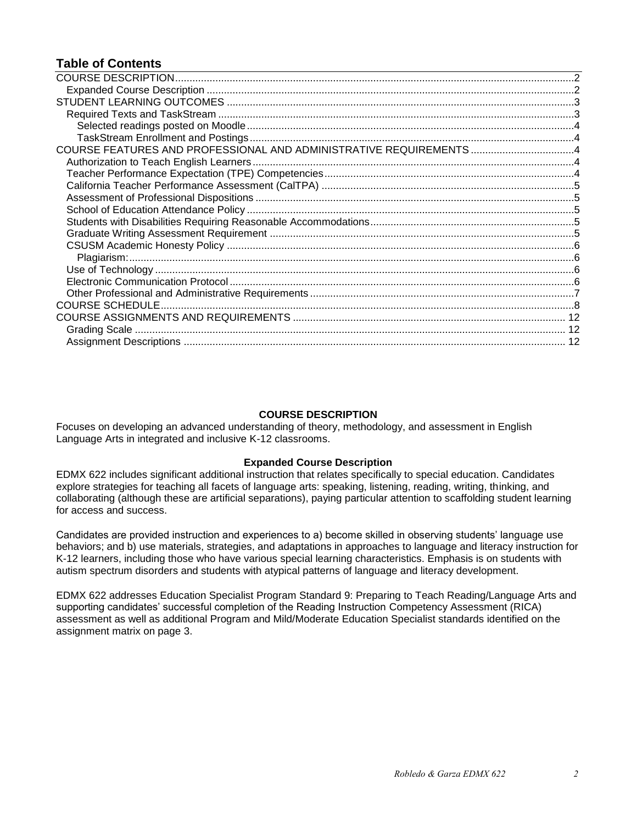# **Table of Contents**

| COURSE FEATURES AND PROFESSIONAL AND ADMINISTRATIVE REQUIREMENTS 4 |  |
|--------------------------------------------------------------------|--|
|                                                                    |  |
|                                                                    |  |
|                                                                    |  |
|                                                                    |  |
|                                                                    |  |
|                                                                    |  |
|                                                                    |  |
|                                                                    |  |
|                                                                    |  |
|                                                                    |  |
|                                                                    |  |
|                                                                    |  |
|                                                                    |  |
|                                                                    |  |
|                                                                    |  |
|                                                                    |  |

## **COURSE DESCRIPTION**

<span id="page-1-0"></span>Focuses on developing an advanced understanding of theory, methodology, and assessment in English Language Arts in integrated and inclusive K-12 classrooms.

#### **Expanded Course Description**

<span id="page-1-1"></span>EDMX 622 includes significant additional instruction that relates specifically to special education. Candidates explore strategies for teaching all facets of language arts: speaking, listening, reading, writing, thinking, and collaborating (although these are artificial separations), paying particular attention to scaffolding student learning for access and success.

Candidates are provided instruction and experiences to a) become skilled in observing students' language use behaviors; and b) use materials, strategies, and adaptations in approaches to language and literacy instruction for K-12 learners, including those who have various special learning characteristics. Emphasis is on students with autism spectrum disorders and students with atypical patterns of language and literacy development.

<span id="page-1-2"></span>EDMX 622 addresses Education Specialist Program Standard 9: Preparing to Teach Reading/Language Arts and supporting candidates' successful completion of the Reading Instruction Competency Assessment (RICA) assessment as well as additional Program and Mild/Moderate Education Specialist standards identified on the assignment matrix on page 3.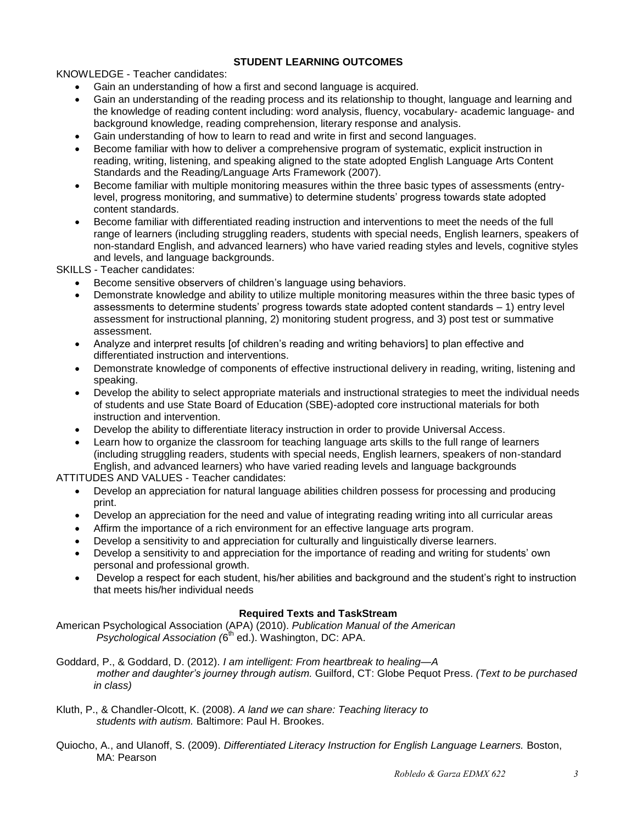## **STUDENT LEARNING OUTCOMES**

KNOWLEDGE - Teacher candidates:

- Gain an understanding of how a first and second language is acquired.
- Gain an understanding of the reading process and its relationship to thought, language and learning and the knowledge of reading content including: word analysis, fluency, vocabulary- academic language- and background knowledge, reading comprehension, literary response and analysis.
- Gain understanding of how to learn to read and write in first and second languages.
- Become familiar with how to deliver a comprehensive program of systematic, explicit instruction in reading, writing, listening, and speaking aligned to the state adopted English Language Arts Content Standards and the Reading/Language Arts Framework (2007).
- Become familiar with multiple monitoring measures within the three basic types of assessments (entrylevel, progress monitoring, and summative) to determine students' progress towards state adopted content standards.
- Become familiar with differentiated reading instruction and interventions to meet the needs of the full range of learners (including struggling readers, students with special needs, English learners, speakers of non-standard English, and advanced learners) who have varied reading styles and levels, cognitive styles and levels, and language backgrounds.

SKILLS - Teacher candidates:

- Become sensitive observers of children's language using behaviors.
- Demonstrate knowledge and ability to utilize multiple monitoring measures within the three basic types of assessments to determine students' progress towards state adopted content standards – 1) entry level assessment for instructional planning, 2) monitoring student progress, and 3) post test or summative assessment.
- Analyze and interpret results [of children's reading and writing behaviors] to plan effective and differentiated instruction and interventions.
- Demonstrate knowledge of components of effective instructional delivery in reading, writing, listening and speaking.
- Develop the ability to select appropriate materials and instructional strategies to meet the individual needs of students and use State Board of Education (SBE)-adopted core instructional materials for both instruction and intervention.
- Develop the ability to differentiate literacy instruction in order to provide Universal Access.
- Learn how to organize the classroom for teaching language arts skills to the full range of learners (including struggling readers, students with special needs, English learners, speakers of non-standard English, and advanced learners) who have varied reading levels and language backgrounds

ATTITUDES AND VALUES - Teacher candidates:

- Develop an appreciation for natural language abilities children possess for processing and producing print.
- Develop an appreciation for the need and value of integrating reading writing into all curricular areas
- Affirm the importance of a rich environment for an effective language arts program.
- Develop a sensitivity to and appreciation for culturally and linguistically diverse learners.
- Develop a sensitivity to and appreciation for the importance of reading and writing for students' own personal and professional growth.
- Develop a respect for each student, his/her abilities and background and the student's right to instruction that meets his/her individual needs

## **Required Texts and TaskStream**

<span id="page-2-0"></span>American Psychological Association (APA) (2010). *Publication Manual of the American* Psychological Association (6<sup>th</sup> ed.). Washington, DC: APA.

Goddard, P., & Goddard, D. (2012). *I am intelligent: From heartbreak to healing—A mother and daughter's journey through autism.* Guilford, CT: Globe Pequot Press. *(Text to be purchased in class)*

- Kluth, P., & Chandler-Olcott, K. (2008). *A land we can share: Teaching literacy to students with autism.* Baltimore: Paul H. Brookes.
- Quiocho, A., and Ulanoff, S. (2009). *Differentiated Literacy Instruction for English Language Learners.* Boston, MA: Pearson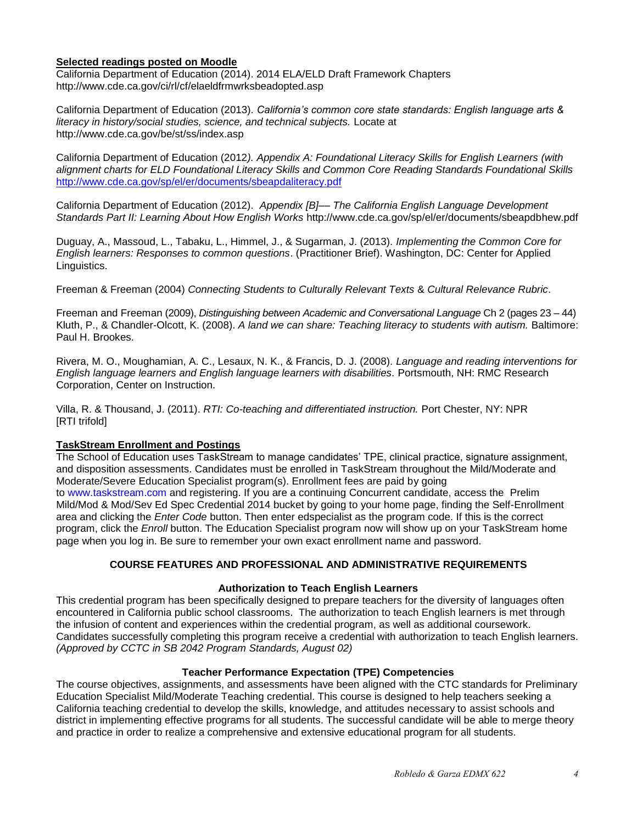#### <span id="page-3-0"></span>**Selected readings posted on Moodle**

California Department of Education (2014). 2014 ELA/ELD Draft Framework Chapters http://www.cde.ca.gov/ci/rl/cf/elaeldfrmwrksbeadopted.asp

California Department of Education (2013). *California's common core state standards: English language arts & literacy in history/social studies, science, and technical subjects.* Locate at http://www.cde.ca.gov/be/st/ss/index.asp

California Department of Education (2012*). Appendix A: Foundational Literacy Skills for English Learners (with alignment charts for ELD Foundational Literacy Skills and Common Core Reading Standards Foundational Skills*  <http://www.cde.ca.gov/sp/el/er/documents/sbeapdaliteracy.pdf>

California Department of Education (2012). *Appendix [B]–– The California English Language Development Standards Part II: Learning About How English Works* http://www.cde.ca.gov/sp/el/er/documents/sbeapdbhew.pdf

Duguay, A., Massoud, L., Tabaku, L., Himmel, J., & Sugarman, J. (2013). *Implementing the Common Core for English learners: Responses to common questions*. (Practitioner Brief). Washington, DC: Center for Applied Linguistics.

Freeman & Freeman (2004) *Connecting Students to Culturally Relevant Texts* & *Cultural Relevance Rubric*.

Freeman and Freeman (2009), *Distinguishing between Academic and Conversational Language* Ch 2 (pages 23 – 44) Kluth, P., & Chandler-Olcott, K. (2008). A land we can share: Teaching literacy to students with autism. Baltimore: Paul H. Brookes.

Rivera, M. O., Moughamian, A. C., Lesaux, N. K., & Francis, D. J. (2008). *Language and reading interventions for English language learners and English language learners with disabilities.* Portsmouth, NH: RMC Research Corporation, Center on Instruction.

Villa, R. & Thousand, J. (2011). *RTI: Co-teaching and differentiated instruction.* Port Chester, NY: NPR [RTI trifold]

## <span id="page-3-1"></span>**TaskStream Enrollment and Postings**

The School of Education uses TaskStream to manage candidates' TPE, clinical practice, signature assignment, and disposition assessments. Candidates must be enrolled in TaskStream throughout the Mild/Moderate and Moderate/Severe Education Specialist program(s). Enrollment fees are paid by going to [www.taskstream.com](http://www.taskstrem.com/) and registering. If you are a continuing Concurrent candidate, access the Prelim Mild/Mod & Mod/Sev Ed Spec Credential 2014 bucket by going to your home page, finding the Self-Enrollment area and clicking the *Enter Code* button. Then enter edspecialist as the program code. If this is the correct program, click the *Enroll* button. The Education Specialist program now will show up on your TaskStream home page when you log in. Be sure to remember your own exact enrollment name and password.

## **COURSE FEATURES AND PROFESSIONAL AND ADMINISTRATIVE REQUIREMENTS**

## **Authorization to Teach English Learners**

<span id="page-3-3"></span><span id="page-3-2"></span>This credential program has been specifically designed to prepare teachers for the diversity of languages often encountered in California public school classrooms. The authorization to teach English learners is met through the infusion of content and experiences within the credential program, as well as additional coursework. Candidates successfully completing this program receive a credential with authorization to teach English learners. *(Approved by CCTC in SB 2042 Program Standards, August 02)*

#### **Teacher Performance Expectation (TPE) Competencies**

<span id="page-3-5"></span><span id="page-3-4"></span>The course objectives, assignments, and assessments have been aligned with the CTC standards for Preliminary Education Specialist Mild/Moderate Teaching credential. This course is designed to help teachers seeking a California teaching credential to develop the skills, knowledge, and attitudes necessary to assist schools and district in implementing effective programs for all students. The successful candidate will be able to merge theory and practice in order to realize a comprehensive and extensive educational program for all students.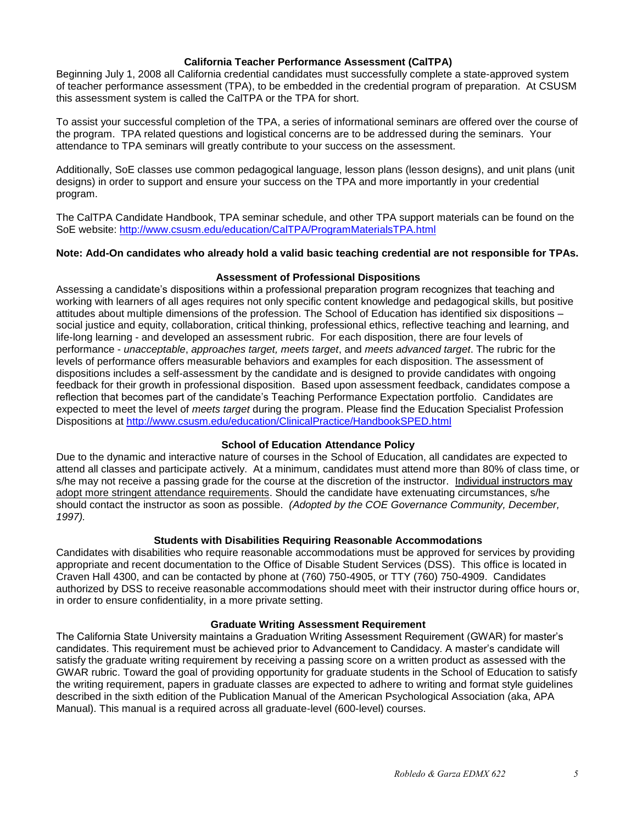#### **California Teacher Performance Assessment (CalTPA)**

Beginning July 1, 2008 all California credential candidates must successfully complete a state-approved system of teacher performance assessment (TPA), to be embedded in the credential program of preparation. At CSUSM this assessment system is called the CalTPA or the TPA for short.

To assist your successful completion of the TPA, a series of informational seminars are offered over the course of the program. TPA related questions and logistical concerns are to be addressed during the seminars. Your attendance to TPA seminars will greatly contribute to your success on the assessment.

Additionally, SoE classes use common pedagogical language, lesson plans (lesson designs), and unit plans (unit designs) in order to support and ensure your success on the TPA and more importantly in your credential program.

The CalTPA Candidate Handbook, TPA seminar schedule, and other TPA support materials can be found on the SoE website: <http://www.csusm.edu/education/CalTPA/ProgramMaterialsTPA.html>

#### **Note: Add-On candidates who already hold a valid basic teaching credential are not responsible for TPAs.**

#### **Assessment of Professional Dispositions**

<span id="page-4-0"></span>Assessing a candidate's dispositions within a professional preparation program recognizes that teaching and working with learners of all ages requires not only specific content knowledge and pedagogical skills, but positive attitudes about multiple dimensions of the profession. The School of Education has identified six dispositions – social justice and equity, collaboration, critical thinking, professional ethics, reflective teaching and learning, and life-long learning - and developed an assessment rubric. For each disposition, there are four levels of performance - *unacceptable*, *approaches target, meets target*, and *meets advanced target*. The rubric for the levels of performance offers measurable behaviors and examples for each disposition. The assessment of dispositions includes a self-assessment by the candidate and is designed to provide candidates with ongoing feedback for their growth in professional disposition. Based upon assessment feedback, candidates compose a reflection that becomes part of the candidate's Teaching Performance Expectation portfolio. Candidates are expected to meet the level of *meets target* during the program. Please find the Education Specialist Profession Dispositions at<http://www.csusm.edu/education/ClinicalPractice/HandbookSPED.html>

#### **School of Education Attendance Policy**

<span id="page-4-1"></span>Due to the dynamic and interactive nature of courses in the School of Education, all candidates are expected to attend all classes and participate actively. At a minimum, candidates must attend more than 80% of class time, or s/he may not receive a passing grade for the course at the discretion of the instructor. Individual instructors may adopt more stringent attendance requirements. Should the candidate have extenuating circumstances, s/he should contact the instructor as soon as possible. *(Adopted by the COE Governance Community, December, 1997).*

## **Students with Disabilities Requiring Reasonable Accommodations**

<span id="page-4-2"></span>Candidates with disabilities who require reasonable accommodations must be approved for services by providing appropriate and recent documentation to the Office of Disable Student Services (DSS). This office is located in Craven Hall 4300, and can be contacted by phone at (760) 750-4905, or TTY (760) 750-4909. Candidates authorized by DSS to receive reasonable accommodations should meet with their instructor during office hours or, in order to ensure confidentiality, in a more private setting.

#### **Graduate Writing Assessment Requirement**

<span id="page-4-4"></span><span id="page-4-3"></span>The California State University maintains a Graduation Writing Assessment Requirement (GWAR) for master's candidates. This requirement must be achieved prior to Advancement to Candidacy. A master's candidate will satisfy the graduate writing requirement by receiving a passing score on a written product as assessed with the GWAR rubric. Toward the goal of providing opportunity for graduate students in the School of Education to satisfy the writing requirement, papers in graduate classes are expected to adhere to writing and format style guidelines described in the sixth edition of the Publication Manual of the American Psychological Association (aka, APA Manual). This manual is a required across all graduate-level (600-level) courses.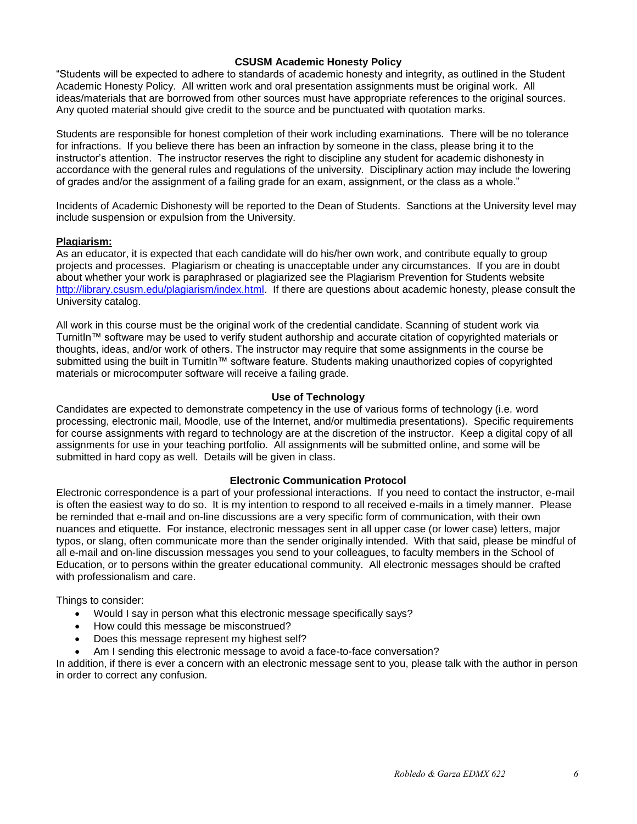#### **CSUSM Academic Honesty Policy**

"Students will be expected to adhere to standards of academic honesty and integrity, as outlined in the Student Academic Honesty Policy. All written work and oral presentation assignments must be original work. All ideas/materials that are borrowed from other sources must have appropriate references to the original sources. Any quoted material should give credit to the source and be punctuated with quotation marks.

Students are responsible for honest completion of their work including examinations. There will be no tolerance for infractions. If you believe there has been an infraction by someone in the class, please bring it to the instructor's attention. The instructor reserves the right to discipline any student for academic dishonesty in accordance with the general rules and regulations of the university. Disciplinary action may include the lowering of grades and/or the assignment of a failing grade for an exam, assignment, or the class as a whole."

Incidents of Academic Dishonesty will be reported to the Dean of Students. Sanctions at the University level may include suspension or expulsion from the University.

#### <span id="page-5-0"></span>**Plagiarism:**

As an educator, it is expected that each candidate will do his/her own work, and contribute equally to group projects and processes. Plagiarism or cheating is unacceptable under any circumstances. If you are in doubt about whether your work is paraphrased or plagiarized see the Plagiarism Prevention for Students website [http://library.csusm.edu/plagiarism/index.html.](http://library.csusm.edu/plagiarism/index.html) If there are questions about academic honesty, please consult the University catalog.

All work in this course must be the original work of the credential candidate. Scanning of student work via TurnitIn™ software may be used to verify student authorship and accurate citation of copyrighted materials or thoughts, ideas, and/or work of others. The instructor may require that some assignments in the course be submitted using the built in TurnitIn™ software feature. Students making unauthorized copies of copyrighted materials or microcomputer software will receive a failing grade.

#### **Use of Technology**

<span id="page-5-1"></span>Candidates are expected to demonstrate competency in the use of various forms of technology (i.e. word processing, electronic mail, Moodle, use of the Internet, and/or multimedia presentations). Specific requirements for course assignments with regard to technology are at the discretion of the instructor. Keep a digital copy of all assignments for use in your teaching portfolio. All assignments will be submitted online, and some will be submitted in hard copy as well. Details will be given in class.

#### **Electronic Communication Protocol**

<span id="page-5-2"></span>Electronic correspondence is a part of your professional interactions. If you need to contact the instructor, e-mail is often the easiest way to do so. It is my intention to respond to all received e-mails in a timely manner. Please be reminded that e-mail and on-line discussions are a very specific form of communication, with their own nuances and etiquette. For instance, electronic messages sent in all upper case (or lower case) letters, major typos, or slang, often communicate more than the sender originally intended. With that said, please be mindful of all e-mail and on-line discussion messages you send to your colleagues, to faculty members in the School of Education, or to persons within the greater educational community. All electronic messages should be crafted with professionalism and care.

Things to consider:

- Would I say in person what this electronic message specifically says?
- How could this message be misconstrued?
- Does this message represent my highest self?
- Am I sending this electronic message to avoid a face-to-face conversation?

<span id="page-5-3"></span>In addition, if there is ever a concern with an electronic message sent to you, please talk with the author in person in order to correct any confusion.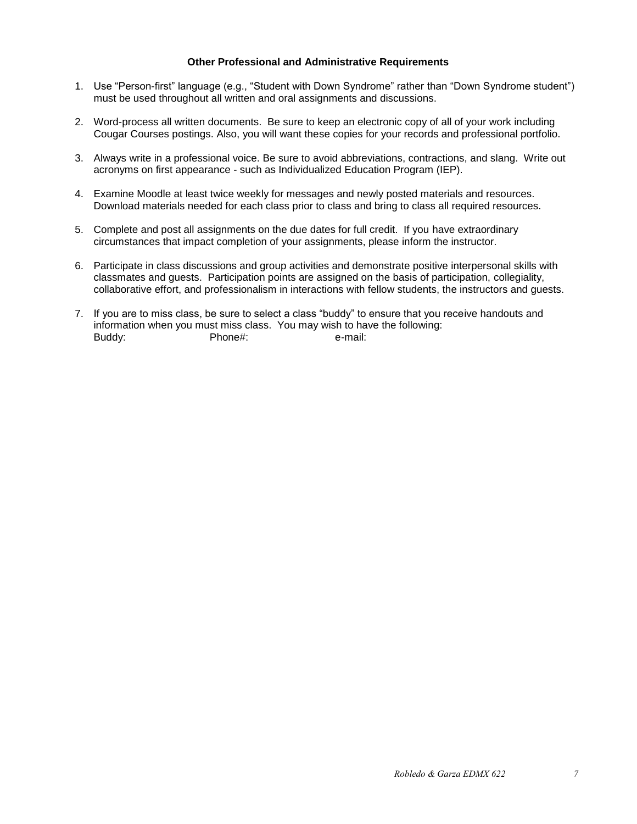#### **Other Professional and Administrative Requirements**

- 1. Use "Person-first" language (e.g., "Student with Down Syndrome" rather than "Down Syndrome student") must be used throughout all written and oral assignments and discussions.
- 2. Word-process all written documents. Be sure to keep an electronic copy of all of your work including Cougar Courses postings. Also, you will want these copies for your records and professional portfolio.
- 3. Always write in a professional voice. Be sure to avoid abbreviations, contractions, and slang. Write out acronyms on first appearance - such as Individualized Education Program (IEP).
- 4. Examine Moodle at least twice weekly for messages and newly posted materials and resources. Download materials needed for each class prior to class and bring to class all required resources.
- 5. Complete and post all assignments on the due dates for full credit. If you have extraordinary circumstances that impact completion of your assignments, please inform the instructor.
- 6. Participate in class discussions and group activities and demonstrate positive interpersonal skills with classmates and guests. Participation points are assigned on the basis of participation, collegiality, collaborative effort, and professionalism in interactions with fellow students, the instructors and guests.
- <span id="page-6-0"></span>7. If you are to miss class, be sure to select a class "buddy" to ensure that you receive handouts and information when you must miss class. You may wish to have the following: Buddy: Phone#: e-mail: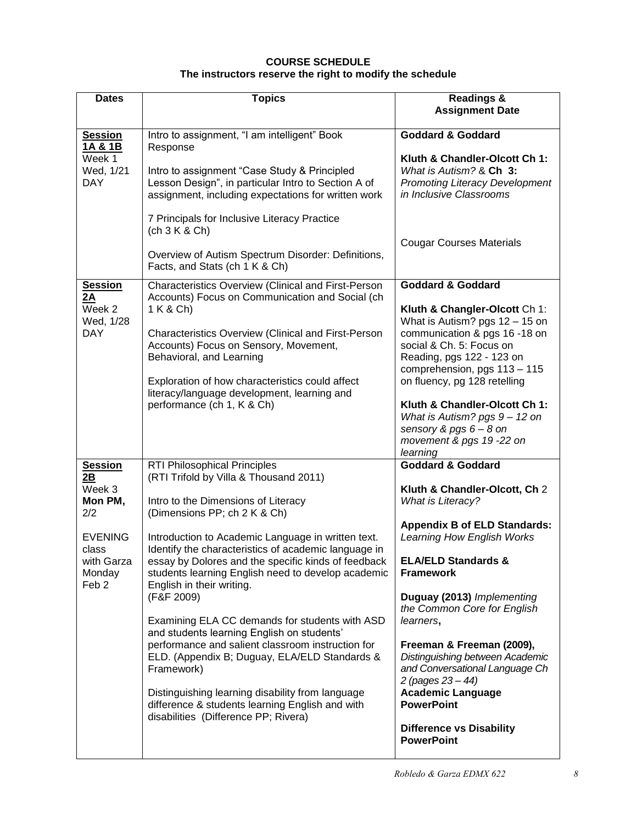## **COURSE SCHEDULE The instructors reserve the right to modify the schedule**

| <b>Dates</b>                                                                                                            | <b>Topics</b>                                                                                                                                                                                                                                                                                                                                                                                                                                                                                                                                                                                                                                                                                                                                                                                 | <b>Readings &amp;</b><br><b>Assignment Date</b>                                                                                                                                                                                                                                                                                                                                                                                                                                                                                |
|-------------------------------------------------------------------------------------------------------------------------|-----------------------------------------------------------------------------------------------------------------------------------------------------------------------------------------------------------------------------------------------------------------------------------------------------------------------------------------------------------------------------------------------------------------------------------------------------------------------------------------------------------------------------------------------------------------------------------------------------------------------------------------------------------------------------------------------------------------------------------------------------------------------------------------------|--------------------------------------------------------------------------------------------------------------------------------------------------------------------------------------------------------------------------------------------------------------------------------------------------------------------------------------------------------------------------------------------------------------------------------------------------------------------------------------------------------------------------------|
| <b>Session</b><br>1A & 1B<br>Week 1<br>Wed, 1/21<br><b>DAY</b>                                                          | Intro to assignment, "I am intelligent" Book<br>Response<br>Intro to assignment "Case Study & Principled<br>Lesson Design", in particular Intro to Section A of<br>assignment, including expectations for written work<br>7 Principals for Inclusive Literacy Practice                                                                                                                                                                                                                                                                                                                                                                                                                                                                                                                        | <b>Goddard &amp; Goddard</b><br>Kluth & Chandler-Olcott Ch 1:<br>What is Autism? & Ch 3:<br><b>Promoting Literacy Development</b><br>in Inclusive Classrooms                                                                                                                                                                                                                                                                                                                                                                   |
|                                                                                                                         | (ch 3 K & Ch)<br>Overview of Autism Spectrum Disorder: Definitions,<br>Facts, and Stats (ch 1 K & Ch)                                                                                                                                                                                                                                                                                                                                                                                                                                                                                                                                                                                                                                                                                         | <b>Cougar Courses Materials</b>                                                                                                                                                                                                                                                                                                                                                                                                                                                                                                |
| <b>Session</b><br>2A<br>Week 2<br>Wed, 1/28<br><b>DAY</b>                                                               | Characteristics Overview (Clinical and First-Person<br>Accounts) Focus on Communication and Social (ch<br>1 K & Ch)<br>Characteristics Overview (Clinical and First-Person<br>Accounts) Focus on Sensory, Movement,<br>Behavioral, and Learning<br>Exploration of how characteristics could affect<br>literacy/language development, learning and<br>performance (ch 1, K & Ch)                                                                                                                                                                                                                                                                                                                                                                                                               | <b>Goddard &amp; Goddard</b><br>Kluth & Changler-Olcott Ch 1:<br>What is Autism? pgs 12 - 15 on<br>communication & pgs 16 -18 on<br>social & Ch. 5: Focus on<br>Reading, pgs 122 - 123 on<br>comprehension, pgs 113 - 115<br>on fluency, pg 128 retelling<br>Kluth & Chandler-Olcott Ch 1:<br>What is Autism? pgs 9 - 12 on<br>sensory & pgs $6 - 8$ on<br>movement & pgs 19 -22 on<br>learning                                                                                                                                |
| <b>Session</b><br>2B<br>Week 3<br>Mon PM,<br>2/2<br><b>EVENING</b><br>class<br>with Garza<br>Monday<br>Feb <sub>2</sub> | <b>RTI Philosophical Principles</b><br>(RTI Trifold by Villa & Thousand 2011)<br>Intro to the Dimensions of Literacy<br>(Dimensions PP; ch 2 K & Ch)<br>Introduction to Academic Language in written text.<br>Identify the characteristics of academic language in<br>essay by Dolores and the specific kinds of feedback<br>students learning English need to develop academic<br>English in their writing.<br>(F&F 2009)<br>Examining ELA CC demands for students with ASD<br>and students learning English on students'<br>performance and salient classroom instruction for<br>ELD. (Appendix B; Duguay, ELA/ELD Standards &<br>Framework)<br>Distinguishing learning disability from language<br>difference & students learning English and with<br>disabilities (Difference PP; Rivera) | <b>Goddard &amp; Goddard</b><br>Kluth & Chandler-Olcott, Ch 2<br><b>What is Literacy?</b><br><b>Appendix B of ELD Standards:</b><br>Learning How English Works<br><b>ELA/ELD Standards &amp;</b><br><b>Framework</b><br>Duguay (2013) Implementing<br>the Common Core for English<br>learners,<br>Freeman & Freeman (2009),<br>Distinguishing between Academic<br>and Conversational Language Ch<br>2 (pages 23 - 44)<br><b>Academic Language</b><br><b>PowerPoint</b><br><b>Difference vs Disability</b><br><b>PowerPoint</b> |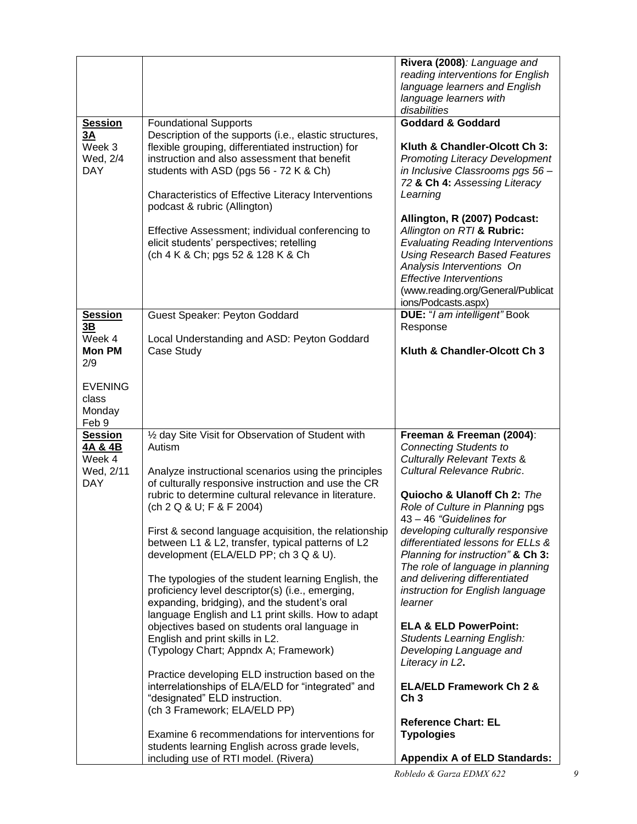|                                                                |                                                                                                                                                                                                                                                                                                                                                                                                                                                                                                                                                                                                                                                                                                                                                                                                                                                                                                                                                                                                                                                       | Rivera (2008): Language and<br>reading interventions for English<br>language learners and English<br>language learners with<br>disabilities                                                                                                                                                                                                                                                                                                                                                                                                                                                                                                                                                             |
|----------------------------------------------------------------|-------------------------------------------------------------------------------------------------------------------------------------------------------------------------------------------------------------------------------------------------------------------------------------------------------------------------------------------------------------------------------------------------------------------------------------------------------------------------------------------------------------------------------------------------------------------------------------------------------------------------------------------------------------------------------------------------------------------------------------------------------------------------------------------------------------------------------------------------------------------------------------------------------------------------------------------------------------------------------------------------------------------------------------------------------|---------------------------------------------------------------------------------------------------------------------------------------------------------------------------------------------------------------------------------------------------------------------------------------------------------------------------------------------------------------------------------------------------------------------------------------------------------------------------------------------------------------------------------------------------------------------------------------------------------------------------------------------------------------------------------------------------------|
| <b>Session</b><br>3A<br>Week 3<br>Wed, 2/4<br><b>DAY</b>       | <b>Foundational Supports</b><br>Description of the supports (i.e., elastic structures,<br>flexible grouping, differentiated instruction) for<br>instruction and also assessment that benefit<br>students with ASD (pgs 56 - 72 K & Ch)<br>Characteristics of Effective Literacy Interventions<br>podcast & rubric (Allington)<br>Effective Assessment; individual conferencing to<br>elicit students' perspectives; retelling<br>(ch 4 K & Ch; pgs 52 & 128 K & Ch                                                                                                                                                                                                                                                                                                                                                                                                                                                                                                                                                                                    | <b>Goddard &amp; Goddard</b><br>Kluth & Chandler-Olcott Ch 3:<br><b>Promoting Literacy Development</b><br>in Inclusive Classrooms pgs 56-<br>72 & Ch 4: Assessing Literacy<br>Learning<br>Allington, R (2007) Podcast:<br>Allington on RTI & Rubric:<br><b>Evaluating Reading Interventions</b><br><b>Using Research Based Features</b><br>Analysis Interventions On<br><b>Effective Interventions</b><br>(www.reading.org/General/Publicat<br>ions/Podcasts.aspx)                                                                                                                                                                                                                                      |
| <b>Session</b><br>3B<br>Week 4<br><b>Mon PM</b><br>2/9         | Guest Speaker: Peyton Goddard<br>Local Understanding and ASD: Peyton Goddard<br>Case Study                                                                                                                                                                                                                                                                                                                                                                                                                                                                                                                                                                                                                                                                                                                                                                                                                                                                                                                                                            | DUE: "I am intelligent" Book<br>Response<br>Kluth & Chandler-Olcott Ch 3                                                                                                                                                                                                                                                                                                                                                                                                                                                                                                                                                                                                                                |
| <b>EVENING</b><br>class<br>Monday<br>Feb 9                     |                                                                                                                                                                                                                                                                                                                                                                                                                                                                                                                                                                                                                                                                                                                                                                                                                                                                                                                                                                                                                                                       |                                                                                                                                                                                                                                                                                                                                                                                                                                                                                                                                                                                                                                                                                                         |
| <b>Session</b><br>4A & 4B<br>Week 4<br>Wed, 2/11<br><b>DAY</b> | 1/2 day Site Visit for Observation of Student with<br>Autism<br>Analyze instructional scenarios using the principles<br>of culturally responsive instruction and use the CR<br>rubric to determine cultural relevance in literature.<br>(ch 2 Q & U; F & F 2004)<br>First & second language acquisition, the relationship<br>between L1 & L2, transfer, typical patterns of L2<br>development (ELA/ELD PP; ch 3 Q & U).<br>The typologies of the student learning English, the<br>proficiency level descriptor(s) (i.e., emerging,<br>expanding, bridging), and the student's oral<br>language English and L1 print skills. How to adapt<br>objectives based on students oral language in<br>English and print skills in L2.<br>(Typology Chart; Appndx A; Framework)<br>Practice developing ELD instruction based on the<br>interrelationships of ELA/ELD for "integrated" and<br>"designated" ELD instruction.<br>(ch 3 Framework; ELA/ELD PP)<br>Examine 6 recommendations for interventions for<br>students learning English across grade levels, | Freeman & Freeman (2004):<br><b>Connecting Students to</b><br><b>Culturally Relevant Texts &amp;</b><br>Cultural Relevance Rubric.<br>Quiocho & Ulanoff Ch 2: The<br>Role of Culture in Planning pgs<br>$43 - 46$ "Guidelines for<br>developing culturally responsive<br>differentiated lessons for ELLs &<br>Planning for instruction" & Ch 3:<br>The role of language in planning<br>and delivering differentiated<br>instruction for English language<br>learner<br><b>ELA &amp; ELD PowerPoint:</b><br><b>Students Learning English:</b><br>Developing Language and<br>Literacy in L2.<br><b>ELA/ELD Framework Ch 2 &amp;</b><br>Ch <sub>3</sub><br><b>Reference Chart: EL</b><br><b>Typologies</b> |
|                                                                | including use of RTI model. (Rivera)                                                                                                                                                                                                                                                                                                                                                                                                                                                                                                                                                                                                                                                                                                                                                                                                                                                                                                                                                                                                                  | <b>Appendix A of ELD Standards:</b>                                                                                                                                                                                                                                                                                                                                                                                                                                                                                                                                                                                                                                                                     |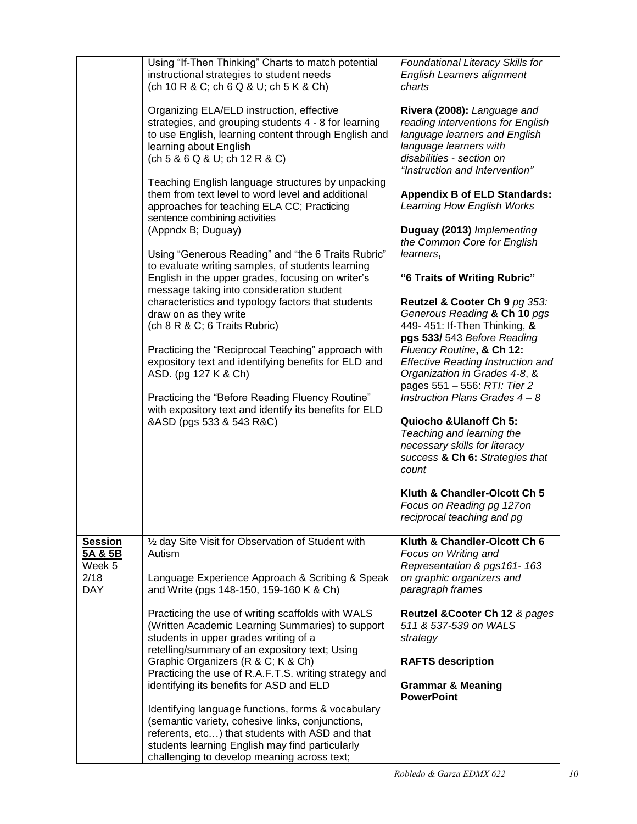|                                     | Using "If-Then Thinking" Charts to match potential<br>instructional strategies to student needs<br>(ch 10 R & C; ch 6 Q & U; ch 5 K & Ch)                                                                                                                   | Foundational Literacy Skills for<br>English Learners alignment<br>charts                                                                                                                   |
|-------------------------------------|-------------------------------------------------------------------------------------------------------------------------------------------------------------------------------------------------------------------------------------------------------------|--------------------------------------------------------------------------------------------------------------------------------------------------------------------------------------------|
|                                     | Organizing ELA/ELD instruction, effective<br>strategies, and grouping students 4 - 8 for learning<br>to use English, learning content through English and<br>learning about English<br>(ch 5 & 6 Q & U; ch 12 R & C)                                        | Rivera (2008): Language and<br>reading interventions for English<br>language learners and English<br>language learners with<br>disabilities - section on<br>"Instruction and Intervention" |
|                                     | Teaching English language structures by unpacking<br>them from text level to word level and additional<br>approaches for teaching ELA CC; Practicing<br>sentence combining activities<br>(Appndx B; Duguay)                                                 | <b>Appendix B of ELD Standards:</b><br>Learning How English Works<br>Duguay (2013) Implementing                                                                                            |
|                                     | Using "Generous Reading" and "the 6 Traits Rubric"                                                                                                                                                                                                          | the Common Core for English<br>learners,                                                                                                                                                   |
|                                     | to evaluate writing samples, of students learning<br>English in the upper grades, focusing on writer's                                                                                                                                                      | "6 Traits of Writing Rubric"                                                                                                                                                               |
|                                     | message taking into consideration student<br>characteristics and typology factors that students<br>draw on as they write<br>(ch 8 R & C; 6 Traits Rubric)<br>Practicing the "Reciprocal Teaching" approach with                                             | Reutzel & Cooter Ch 9 pg 353:<br>Generous Reading & Ch 10 pgs<br>449- 451: If-Then Thinking, &<br>pgs 533/ 543 Before Reading<br>Fluency Routine, & Ch 12:                                 |
|                                     | expository text and identifying benefits for ELD and<br>ASD. (pg 127 K & Ch)                                                                                                                                                                                | <b>Effective Reading Instruction and</b><br>Organization in Grades 4-8, &<br>pages 551 - 556: RTI: Tier 2                                                                                  |
|                                     | Practicing the "Before Reading Fluency Routine"<br>with expository text and identify its benefits for ELD                                                                                                                                                   | Instruction Plans Grades $4 - 8$                                                                                                                                                           |
|                                     | &ASD (pgs 533 & 543 R&C)                                                                                                                                                                                                                                    | <b>Quiocho &amp;Ulanoff Ch 5:</b><br>Teaching and learning the<br>necessary skills for literacy<br>success & Ch 6: Strategies that<br>count                                                |
|                                     |                                                                                                                                                                                                                                                             | Kluth & Chandler-Olcott Ch 5<br>Focus on Reading pg 127on<br>reciprocal teaching and pg                                                                                                    |
| <b>Session</b><br>5A & 5B<br>Week 5 | 1/2 day Site Visit for Observation of Student with<br>Autism                                                                                                                                                                                                | Kluth & Chandler-Olcott Ch 6<br>Focus on Writing and<br>Representation & pgs161-163                                                                                                        |
| 2/18<br><b>DAY</b>                  | Language Experience Approach & Scribing & Speak<br>and Write (pgs 148-150, 159-160 K & Ch)                                                                                                                                                                  | on graphic organizers and<br>paragraph frames                                                                                                                                              |
|                                     | Practicing the use of writing scaffolds with WALS<br>(Written Academic Learning Summaries) to support<br>students in upper grades writing of a                                                                                                              | Reutzel & Cooter Ch 12 & pages<br>511 & 537-539 on WALS<br>strategy                                                                                                                        |
|                                     | retelling/summary of an expository text; Using<br>Graphic Organizers (R & C; K & Ch)                                                                                                                                                                        | <b>RAFTS description</b>                                                                                                                                                                   |
|                                     | Practicing the use of R.A.F.T.S. writing strategy and<br>identifying its benefits for ASD and ELD                                                                                                                                                           | <b>Grammar &amp; Meaning</b><br><b>PowerPoint</b>                                                                                                                                          |
|                                     | Identifying language functions, forms & vocabulary<br>(semantic variety, cohesive links, conjunctions,<br>referents, etc) that students with ASD and that<br>students learning English may find particularly<br>challenging to develop meaning across text; |                                                                                                                                                                                            |
|                                     |                                                                                                                                                                                                                                                             |                                                                                                                                                                                            |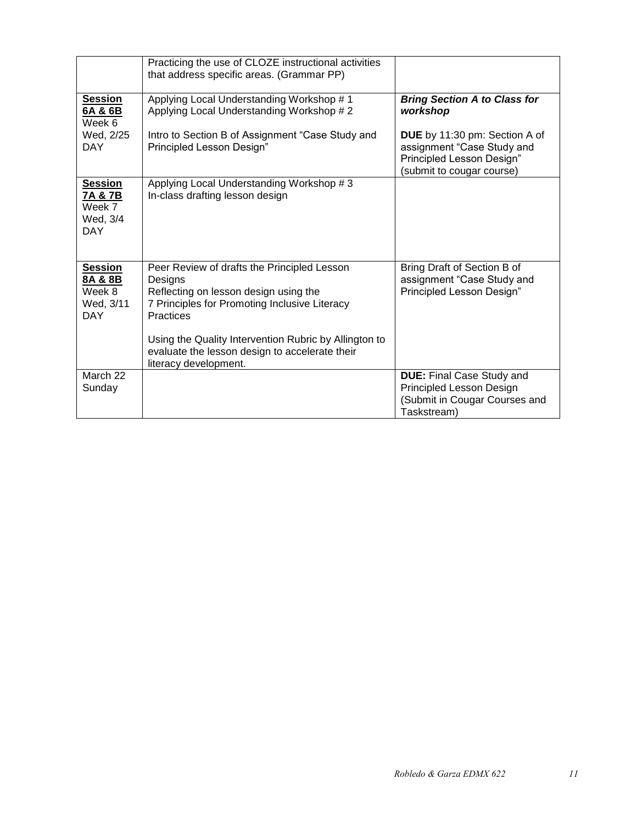|                                                                | Practicing the use of CLOZE instructional activities<br>that address specific areas. (Grammar PP)                                                                                                                                                                                                        |                                                                                                                       |
|----------------------------------------------------------------|----------------------------------------------------------------------------------------------------------------------------------------------------------------------------------------------------------------------------------------------------------------------------------------------------------|-----------------------------------------------------------------------------------------------------------------------|
| <b>Session</b><br>6A & 6B<br>Week 6                            | Applying Local Understanding Workshop #1<br>Applying Local Understanding Workshop #2                                                                                                                                                                                                                     | <b>Bring Section A to Class for</b><br>workshop                                                                       |
| Wed, 2/25<br>DAY.                                              | Intro to Section B of Assignment "Case Study and<br>Principled Lesson Design"                                                                                                                                                                                                                            | DUE by 11:30 pm: Section A of<br>assignment "Case Study and<br>Principled Lesson Design"<br>(submit to cougar course) |
| <b>Session</b><br>7A & 7B<br>Week 7<br>Wed, 3/4<br><b>DAY</b>  | Applying Local Understanding Workshop #3<br>In-class drafting lesson design                                                                                                                                                                                                                              |                                                                                                                       |
| <b>Session</b><br>8A & 8B<br>Week 8<br>Wed, 3/11<br><b>DAY</b> | Peer Review of drafts the Principled Lesson<br>Designs<br>Reflecting on lesson design using the<br>7 Principles for Promoting Inclusive Literacy<br><b>Practices</b><br>Using the Quality Intervention Rubric by Allington to<br>evaluate the lesson design to accelerate their<br>literacy development. | Bring Draft of Section B of<br>assignment "Case Study and<br>Principled Lesson Design"                                |
| March 22<br>Sunday                                             |                                                                                                                                                                                                                                                                                                          | <b>DUE:</b> Final Case Study and<br>Principled Lesson Design<br>(Submit in Cougar Courses and<br>Taskstream)          |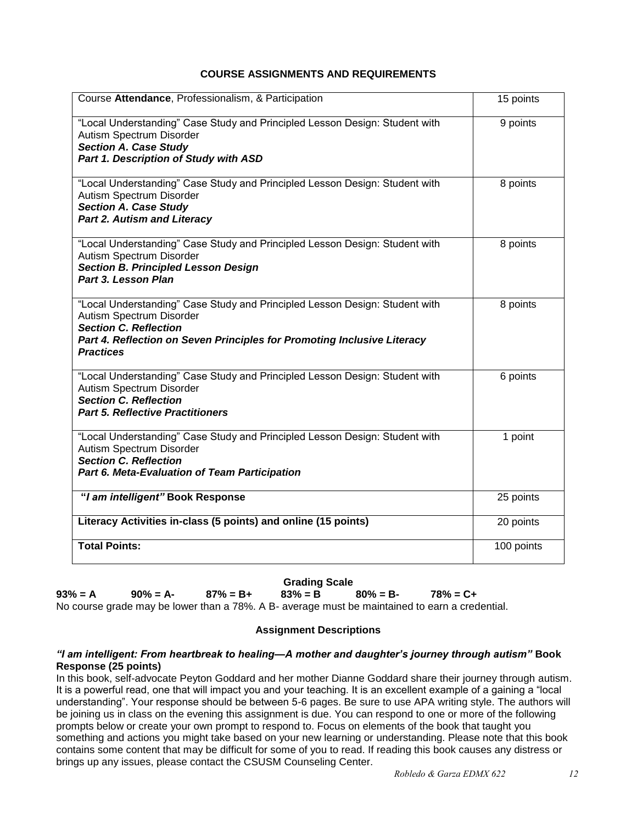## **COURSE ASSIGNMENTS AND REQUIREMENTS**

<span id="page-11-0"></span>

| Course Attendance, Professionalism, & Participation                                                                                                                                                                                    | 15 points  |
|----------------------------------------------------------------------------------------------------------------------------------------------------------------------------------------------------------------------------------------|------------|
| "Local Understanding" Case Study and Principled Lesson Design: Student with<br>Autism Spectrum Disorder<br><b>Section A. Case Study</b><br>Part 1. Description of Study with ASD                                                       | 9 points   |
| "Local Understanding" Case Study and Principled Lesson Design: Student with<br>Autism Spectrum Disorder<br><b>Section A. Case Study</b><br><b>Part 2. Autism and Literacy</b>                                                          | 8 points   |
| "Local Understanding" Case Study and Principled Lesson Design: Student with<br>Autism Spectrum Disorder<br><b>Section B. Principled Lesson Design</b><br>Part 3. Lesson Plan                                                           | 8 points   |
| "Local Understanding" Case Study and Principled Lesson Design: Student with<br>Autism Spectrum Disorder<br><b>Section C. Reflection</b><br>Part 4. Reflection on Seven Principles for Promoting Inclusive Literacy<br><b>Practices</b> | 8 points   |
| "Local Understanding" Case Study and Principled Lesson Design: Student with<br>Autism Spectrum Disorder<br><b>Section C. Reflection</b><br><b>Part 5. Reflective Practitioners</b>                                                     | 6 points   |
| "Local Understanding" Case Study and Principled Lesson Design: Student with<br>Autism Spectrum Disorder<br><b>Section C. Reflection</b><br>Part 6. Meta-Evaluation of Team Participation                                               | 1 point    |
| "I am intelligent" Book Response                                                                                                                                                                                                       | 25 points  |
| Literacy Activities in-class (5 points) and online (15 points)                                                                                                                                                                         | 20 points  |
| <b>Total Points:</b>                                                                                                                                                                                                                   | 100 points |

#### **Grading Scale**

<span id="page-11-1"></span>**93% = A 90% = A- 87% = B+ 83% = B 80% = B- 78% = C+** No course grade may be lower than a 78%. A B- average must be maintained to earn a credential.

## **Assignment Descriptions**

#### <span id="page-11-2"></span>*"I am intelligent: From heartbreak to healing—A mother and daughter's journey through autism"* **Book Response (25 points)**

In this book, self-advocate Peyton Goddard and her mother Dianne Goddard share their journey through autism. It is a powerful read, one that will impact you and your teaching. It is an excellent example of a gaining a "local understanding". Your response should be between 5-6 pages. Be sure to use APA writing style. The authors will be joining us in class on the evening this assignment is due. You can respond to one or more of the following prompts below or create your own prompt to respond to. Focus on elements of the book that taught you something and actions you might take based on your new learning or understanding. Please note that this book contains some content that may be difficult for some of you to read. If reading this book causes any distress or brings up any issues, please contact the CSUSM Counseling Center.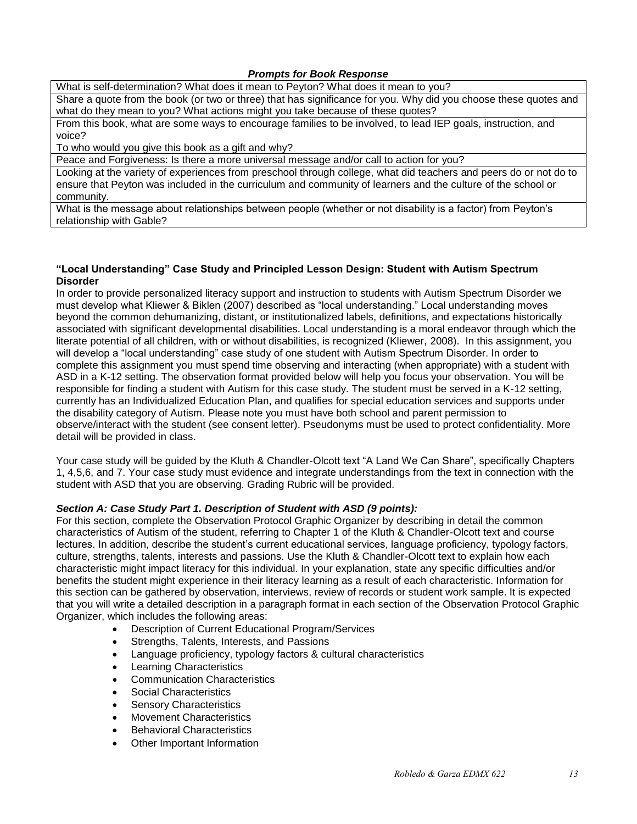## *Prompts for Book Response*

What is self-determination? What does it mean to Peyton? What does it mean to you?

Share a quote from the book (or two or three) that has significance for you. Why did you choose these quotes and what do they mean to you? What actions might you take because of these quotes?

From this book, what are some ways to encourage families to be involved, to lead IEP goals, instruction, and voice?

To who would you give this book as a gift and why?

Peace and Forgiveness: Is there a more universal message and/or call to action for you?

Looking at the variety of experiences from preschool through college, what did teachers and peers do or not do to ensure that Peyton was included in the curriculum and community of learners and the culture of the school or community.

What is the message about relationships between people (whether or not disability is a factor) from Peyton's relationship with Gable?

#### **"Local Understanding" Case Study and Principled Lesson Design: Student with Autism Spectrum Disorder**

In order to provide personalized literacy support and instruction to students with Autism Spectrum Disorder we must develop what Kliewer & Biklen (2007) described as "local understanding." Local understanding moves beyond the common dehumanizing, distant, or institutionalized labels, definitions, and expectations historically associated with significant developmental disabilities. Local understanding is a moral endeavor through which the literate potential of all children, with or without disabilities, is recognized (Kliewer, 2008). In this assignment, you will develop a "local understanding" case study of one student with Autism Spectrum Disorder. In order to complete this assignment you must spend time observing and interacting (when appropriate) with a student with ASD in a K-12 setting. The observation format provided below will help you focus your observation. You will be responsible for finding a student with Autism for this case study. The student must be served in a K-12 setting, currently has an Individualized Education Plan, and qualifies for special education services and supports under the disability category of Autism. Please note you must have both school and parent permission to observe/interact with the student (see consent letter). Pseudonyms must be used to protect confidentiality. More detail will be provided in class.

Your case study will be guided by the Kluth & Chandler-Olcott text "A Land We Can Share", specifically Chapters 1, 4,5,6, and 7. Your case study must evidence and integrate understandings from the text in connection with the student with ASD that you are observing. Grading Rubric will be provided.

## *Section A: Case Study Part 1. Description of Student with ASD (9 points):*

For this section, complete the Observation Protocol Graphic Organizer by describing in detail the common characteristics of Autism of the student, referring to Chapter 1 of the Kluth & Chandler-Olcott text and course lectures. In addition, describe the student's current educational services, language proficiency, typology factors, culture, strengths, talents, interests and passions. Use the Kluth & Chandler-Olcott text to explain how each characteristic might impact literacy for this individual. In your explanation, state any specific difficulties and/or benefits the student might experience in their literacy learning as a result of each characteristic. Information for this section can be gathered by observation, interviews, review of records or student work sample. It is expected that you will write a detailed description in a paragraph format in each section of the Observation Protocol Graphic Organizer, which includes the following areas:

- Description of Current Educational Program/Services
- Strengths, Talents, Interests, and Passions
- Language proficiency, typology factors & cultural characteristics
- Learning Characteristics
- Communication Characteristics
- Social Characteristics
- Sensory Characteristics
- Movement Characteristics
- Behavioral Characteristics
- Other Important Information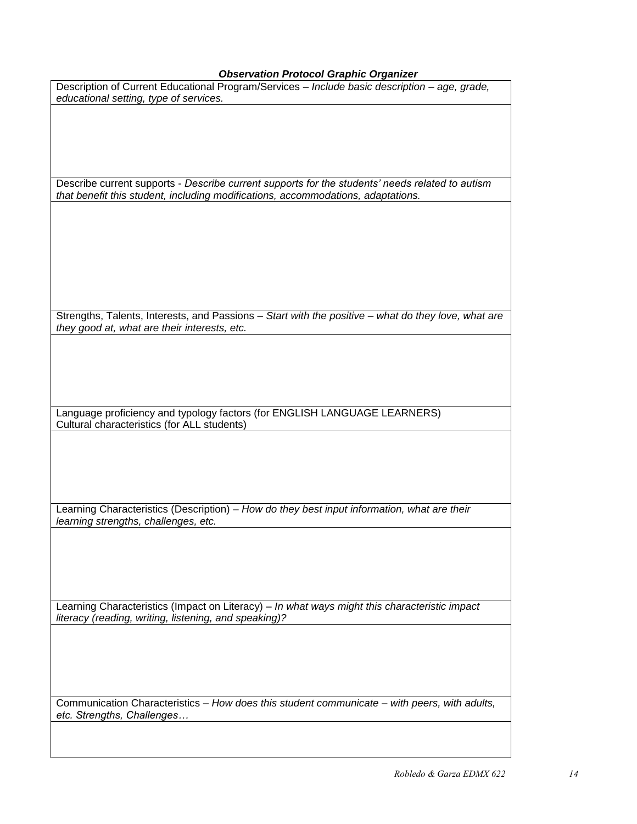## *Observation Protocol Graphic Organizer*

| Observation Protocol Graphic Organizer                                                                                                                                              |
|-------------------------------------------------------------------------------------------------------------------------------------------------------------------------------------|
| Description of Current Educational Program/Services - Include basic description - age, grade,<br>educational setting, type of services.                                             |
|                                                                                                                                                                                     |
|                                                                                                                                                                                     |
|                                                                                                                                                                                     |
| Describe current supports - Describe current supports for the students' needs related to autism<br>that benefit this student, including modifications, accommodations, adaptations. |
|                                                                                                                                                                                     |
|                                                                                                                                                                                     |
|                                                                                                                                                                                     |
|                                                                                                                                                                                     |
| Strengths, Talents, Interests, and Passions - Start with the positive - what do they love, what are                                                                                 |
| they good at, what are their interests, etc.                                                                                                                                        |
|                                                                                                                                                                                     |
|                                                                                                                                                                                     |
|                                                                                                                                                                                     |
| Language proficiency and typology factors (for ENGLISH LANGUAGE LEARNERS)<br>Cultural characteristics (for ALL students)                                                            |
|                                                                                                                                                                                     |
|                                                                                                                                                                                     |
|                                                                                                                                                                                     |
| Learning Characteristics (Description) - How do they best input information, what are their<br>learning strengths, challenges, etc.                                                 |
|                                                                                                                                                                                     |
|                                                                                                                                                                                     |
|                                                                                                                                                                                     |
| Learning Characteristics (Impact on Literacy) - In what ways might this characteristic impact<br>literacy (reading, writing, listening, and speaking)?                              |
|                                                                                                                                                                                     |
|                                                                                                                                                                                     |
|                                                                                                                                                                                     |
| Communication Characteristics - How does this student communicate - with peers, with adults,<br>etc. Strengths, Challenges                                                          |
|                                                                                                                                                                                     |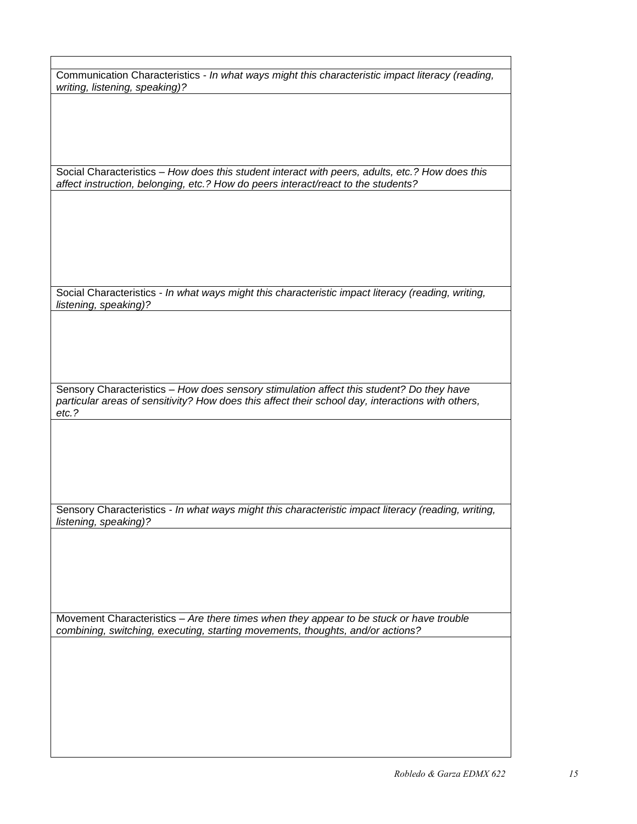Communication Characteristics - *In what ways might this characteristic impact literacy (reading, writing, listening, speaking)?*

Social Characteristics – *How does this student interact with peers, adults, etc.? How does this affect instruction, belonging, etc.? How do peers interact/react to the students?*

Social Characteristics - *In what ways might this characteristic impact literacy (reading, writing, listening, speaking)?*

Sensory Characteristics – *How does sensory stimulation affect this student? Do they have particular areas of sensitivity? How does this affect their school day, interactions with others, etc.?*

Sensory Characteristics - *In what ways might this characteristic impact literacy (reading, writing, listening, speaking)?*

Movement Characteristics – *Are there times when they appear to be stuck or have trouble combining, switching, executing, starting movements, thoughts, and/or actions?*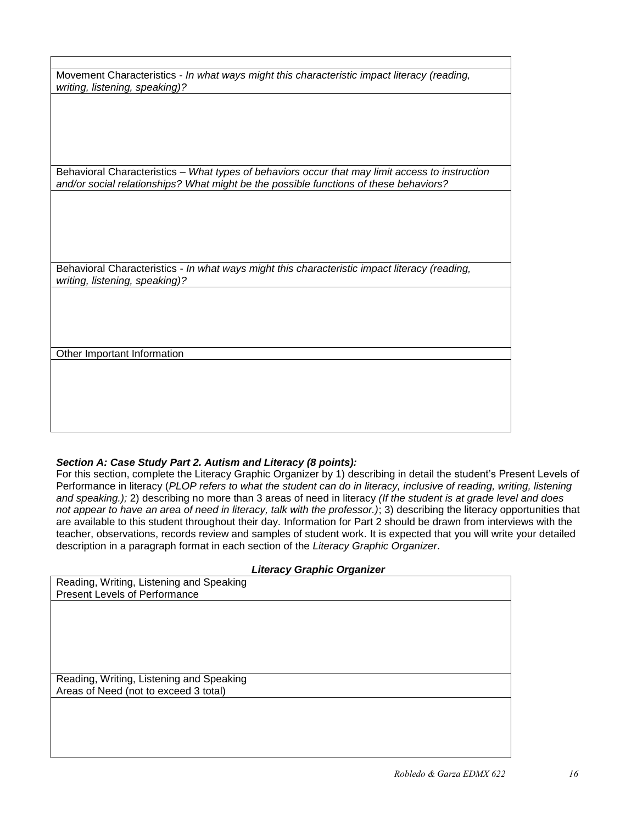| Movement Characteristics - In what ways might this characteristic impact literacy (reading, |  |
|---------------------------------------------------------------------------------------------|--|
| writing, listening, speaking)?                                                              |  |

Behavioral Characteristics – *What types of behaviors occur that may limit access to instruction and/or social relationships? What might be the possible functions of these behaviors?*

Behavioral Characteristics - *In what ways might this characteristic impact literacy (reading, writing, listening, speaking)?*

Other Important Information

#### *Section A: Case Study Part 2. Autism and Literacy (8 points):*

For this section, complete the Literacy Graphic Organizer by 1) describing in detail the student's Present Levels of Performance in literacy (*PLOP refers to what the student can do in literacy, inclusive of reading, writing, listening and speaking.);* 2) describing no more than 3 areas of need in literacy *(If the student is at grade level and does not appear to have an area of need in literacy, talk with the professor.)*; 3) describing the literacy opportunities that are available to this student throughout their day. Information for Part 2 should be drawn from interviews with the teacher, observations, records review and samples of student work. It is expected that you will write your detailed description in a paragraph format in each section of the *Literacy Graphic Organizer*.

#### *Literacy Graphic Organizer*

|                                                                                   | $\cdot$ |
|-----------------------------------------------------------------------------------|---------|
| Reading, Writing, Listening and Speaking                                          |         |
| <b>Present Levels of Performance</b>                                              |         |
|                                                                                   |         |
|                                                                                   |         |
|                                                                                   |         |
|                                                                                   |         |
|                                                                                   |         |
|                                                                                   |         |
|                                                                                   |         |
|                                                                                   |         |
|                                                                                   |         |
|                                                                                   |         |
|                                                                                   |         |
|                                                                                   |         |
|                                                                                   |         |
| Reading, Writing, Listening and Speaking<br>Areas of Need (not to exceed 3 total) |         |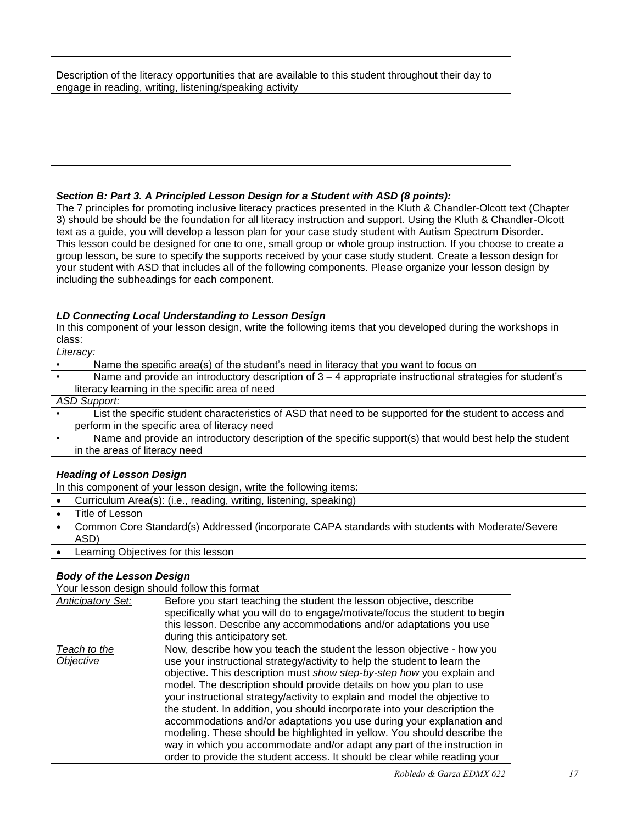Description of the literacy opportunities that are available to this student throughout their day to engage in reading, writing, listening/speaking activity

## *Section B: Part 3. A Principled Lesson Design for a Student with ASD (8 points):*

The 7 principles for promoting inclusive literacy practices presented in the Kluth & Chandler-Olcott text (Chapter 3) should be should be the foundation for all literacy instruction and support. Using the Kluth & Chandler-Olcott text as a guide, you will develop a lesson plan for your case study student with Autism Spectrum Disorder. This lesson could be designed for one to one, small group or whole group instruction. If you choose to create a group lesson, be sure to specify the supports received by your case study student. Create a lesson design for your student with ASD that includes all of the following components. Please organize your lesson design by including the subheadings for each component.

#### *LD Connecting Local Understanding to Lesson Design*

In this component of your lesson design, write the following items that you developed during the workshops in class:

| Literacy:                                                                                                  |
|------------------------------------------------------------------------------------------------------------|
| Name the specific area(s) of the student's need in literacy that you want to focus on                      |
| Name and provide an introductory description of $3 - 4$ appropriate instructional strategies for student's |
| literacy learning in the specific area of need                                                             |
| <b>ASD Support:</b>                                                                                        |
| List the specific student characteristics of ASD that need to be supported for the student to access and   |
| perform in the specific area of literacy need                                                              |
| Name and provide an introductory description of the specific support(s) that would best help the student   |
| in the areas of literacy need                                                                              |
|                                                                                                            |

## *Heading of Lesson Design*

In this component of your lesson design, write the following items:

- Curriculum Area(s): (i.e., reading, writing, listening, speaking)
- Title of Lesson
- Common Core Standard(s) Addressed (incorporate CAPA standards with students with Moderate/Severe ASD)
- Learning Objectives for this lesson

## *Body of the Lesson Design*

Your lesson design should follow this format

| <b>Anticipatory Set:</b>  | Before you start teaching the student the lesson objective, describe<br>specifically what you will do to engage/motivate/focus the student to begin<br>this lesson. Describe any accommodations and/or adaptations you use<br>during this anticipatory set.                                                                                                                                                                                                                                                                                                                                                                                                                                                                                                                      |
|---------------------------|----------------------------------------------------------------------------------------------------------------------------------------------------------------------------------------------------------------------------------------------------------------------------------------------------------------------------------------------------------------------------------------------------------------------------------------------------------------------------------------------------------------------------------------------------------------------------------------------------------------------------------------------------------------------------------------------------------------------------------------------------------------------------------|
| Teach to the<br>Objective | Now, describe how you teach the student the lesson objective - how you<br>use your instructional strategy/activity to help the student to learn the<br>objective. This description must show step-by-step how you explain and<br>model. The description should provide details on how you plan to use<br>your instructional strategy/activity to explain and model the objective to<br>the student. In addition, you should incorporate into your description the<br>accommodations and/or adaptations you use during your explanation and<br>modeling. These should be highlighted in yellow. You should describe the<br>way in which you accommodate and/or adapt any part of the instruction in<br>order to provide the student access. It should be clear while reading your |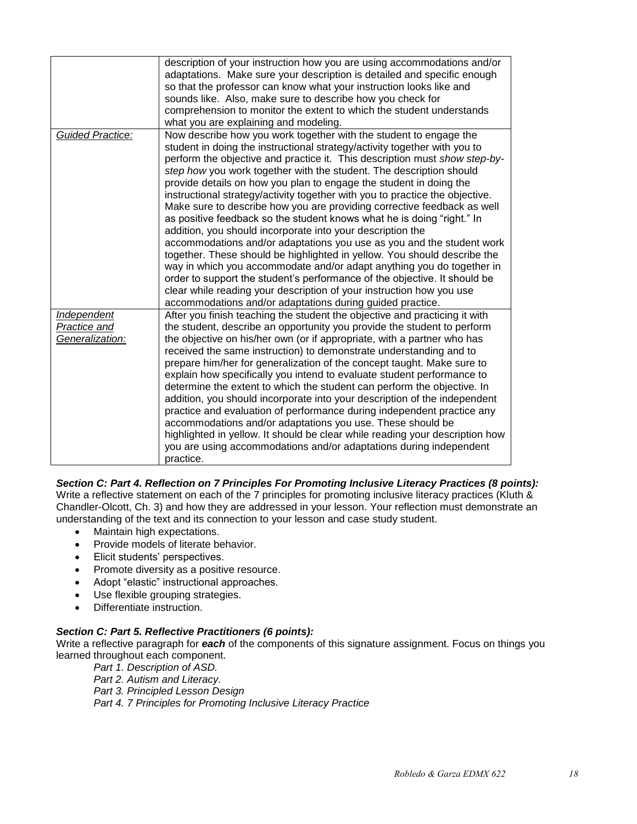|                                                       | description of your instruction how you are using accommodations and/or<br>adaptations. Make sure your description is detailed and specific enough<br>so that the professor can know what your instruction looks like and<br>sounds like. Also, make sure to describe how you check for<br>comprehension to monitor the extent to which the student understands<br>what you are explaining and modeling.                                                                                                                                                                                                                                                                                                                                                                                                                                                                                                                                                                                                                                                                                                                     |
|-------------------------------------------------------|------------------------------------------------------------------------------------------------------------------------------------------------------------------------------------------------------------------------------------------------------------------------------------------------------------------------------------------------------------------------------------------------------------------------------------------------------------------------------------------------------------------------------------------------------------------------------------------------------------------------------------------------------------------------------------------------------------------------------------------------------------------------------------------------------------------------------------------------------------------------------------------------------------------------------------------------------------------------------------------------------------------------------------------------------------------------------------------------------------------------------|
| <b>Guided Practice:</b>                               | Now describe how you work together with the student to engage the<br>student in doing the instructional strategy/activity together with you to<br>perform the objective and practice it. This description must show step-by-<br>step how you work together with the student. The description should<br>provide details on how you plan to engage the student in doing the<br>instructional strategy/activity together with you to practice the objective.<br>Make sure to describe how you are providing corrective feedback as well<br>as positive feedback so the student knows what he is doing "right." In<br>addition, you should incorporate into your description the<br>accommodations and/or adaptations you use as you and the student work<br>together. These should be highlighted in yellow. You should describe the<br>way in which you accommodate and/or adapt anything you do together in<br>order to support the student's performance of the objective. It should be<br>clear while reading your description of your instruction how you use<br>accommodations and/or adaptations during guided practice. |
| <b>Independent</b><br>Practice and<br>Generalization: | After you finish teaching the student the objective and practicing it with<br>the student, describe an opportunity you provide the student to perform<br>the objective on his/her own (or if appropriate, with a partner who has<br>received the same instruction) to demonstrate understanding and to<br>prepare him/her for generalization of the concept taught. Make sure to<br>explain how specifically you intend to evaluate student performance to<br>determine the extent to which the student can perform the objective. In<br>addition, you should incorporate into your description of the independent<br>practice and evaluation of performance during independent practice any<br>accommodations and/or adaptations you use. These should be<br>highlighted in yellow. It should be clear while reading your description how<br>you are using accommodations and/or adaptations during independent<br>practice.                                                                                                                                                                                                |

*Section C: Part 4. Reflection on 7 Principles For Promoting Inclusive Literacy Practices (8 points):* Write a reflective statement on each of the 7 principles for promoting inclusive literacy practices (Kluth & Chandler-Olcott, Ch. 3) and how they are addressed in your lesson. Your reflection must demonstrate an understanding of the text and its connection to your lesson and case study student.

- Maintain high expectations.
- Provide models of literate behavior.
- Elicit students' perspectives.
- Promote diversity as a positive resource.
- Adopt "elastic" instructional approaches.
- Use flexible grouping strategies.
- Differentiate instruction.

## *Section C: Part 5. Reflective Practitioners (6 points):*

Write a reflective paragraph for **each** of the components of this signature assignment. Focus on things you learned throughout each component.

*Part 1. Description of ASD. Part 2. Autism and Literacy. Part 3. Principled Lesson Design Part 4. 7 Principles for Promoting Inclusive Literacy Practice*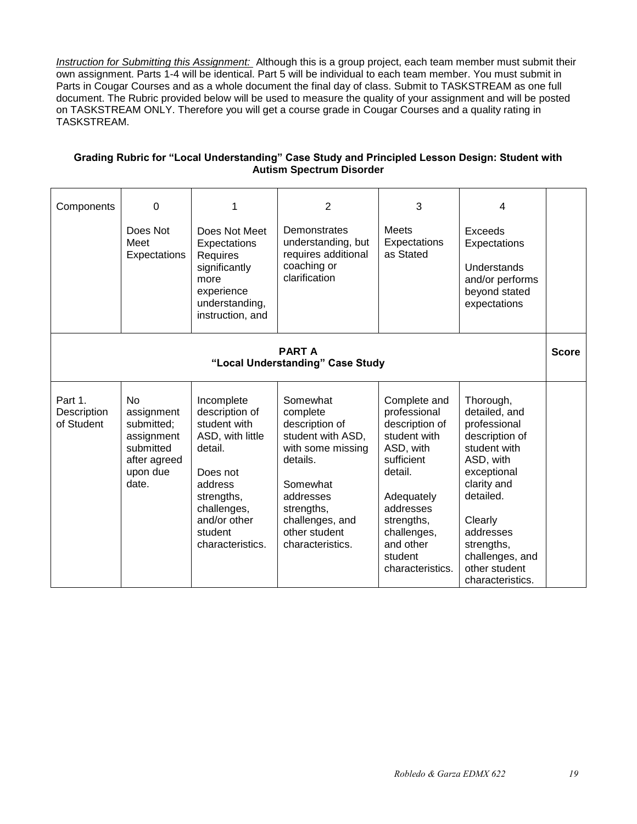*Instruction for Submitting this Assignment:* Although this is a group project, each team member must submit their own assignment. Parts 1-4 will be identical. Part 5 will be individual to each team member. You must submit in Parts in Cougar Courses and as a whole document the final day of class. Submit to TASKSTREAM as one full document. The Rubric provided below will be used to measure the quality of your assignment and will be posted on TASKSTREAM ONLY. Therefore you will get a course grade in Cougar Courses and a quality rating in TASKSTREAM.

| Grading Rubric for "Local Understanding" Case Study and Principled Lesson Design: Student with |
|------------------------------------------------------------------------------------------------|
| <b>Autism Spectrum Disorder</b>                                                                |

| Components                                        | 0<br>Does Not<br>Meet<br>Expectations                                                                      | 1<br>Does Not Meet<br>Expectations<br>Requires<br>significantly<br>more<br>experience<br>understanding,<br>instruction, and                                                    | $\overline{2}$<br>Demonstrates<br>understanding, but<br>requires additional<br>coaching or<br>clarification                                                                                 | 3<br><b>Meets</b><br>Expectations<br>as Stated                                                                                                                                                           | 4<br>Exceeds<br>Expectations<br>Understands<br>and/or performs<br>beyond stated<br>expectations                                                                                                                                    |              |
|---------------------------------------------------|------------------------------------------------------------------------------------------------------------|--------------------------------------------------------------------------------------------------------------------------------------------------------------------------------|---------------------------------------------------------------------------------------------------------------------------------------------------------------------------------------------|----------------------------------------------------------------------------------------------------------------------------------------------------------------------------------------------------------|------------------------------------------------------------------------------------------------------------------------------------------------------------------------------------------------------------------------------------|--------------|
| <b>PART A</b><br>"Local Understanding" Case Study |                                                                                                            |                                                                                                                                                                                |                                                                                                                                                                                             |                                                                                                                                                                                                          |                                                                                                                                                                                                                                    | <b>Score</b> |
| Part 1.<br>Description<br>of Student              | N <sub>o</sub><br>assignment<br>submitted;<br>assignment<br>submitted<br>after agreed<br>upon due<br>date. | Incomplete<br>description of<br>student with<br>ASD, with little<br>detail.<br>Does not<br>address<br>strengths,<br>challenges,<br>and/or other<br>student<br>characteristics. | Somewhat<br>complete<br>description of<br>student with ASD,<br>with some missing<br>details.<br>Somewhat<br>addresses<br>strengths,<br>challenges, and<br>other student<br>characteristics. | Complete and<br>professional<br>description of<br>student with<br>ASD, with<br>sufficient<br>detail.<br>Adequately<br>addresses<br>strengths,<br>challenges,<br>and other<br>student<br>characteristics. | Thorough,<br>detailed, and<br>professional<br>description of<br>student with<br>ASD, with<br>exceptional<br>clarity and<br>detailed.<br>Clearly<br>addresses<br>strengths,<br>challenges, and<br>other student<br>characteristics. |              |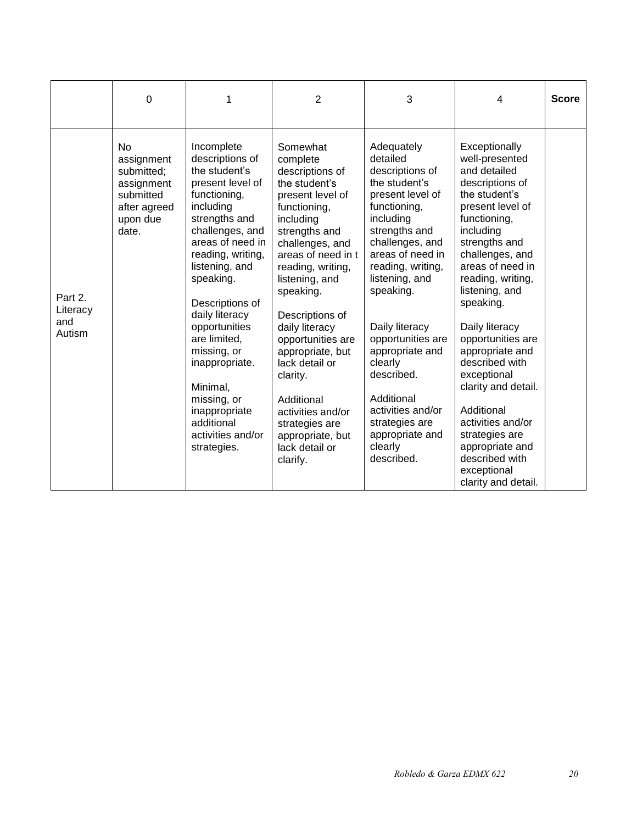|                                      | 0                                                                                                     | 1                                                                                                                                                                                                                                                                                                                                                                                                                | $\overline{2}$                                                                                                                                                                                                                                                                                                                                                                                                                             | 3                                                                                                                                                                                                                                                                                                                                                                                                           | 4                                                                                                                                                                                                                                                                                                                                                                                                                                                                                                  | <b>Score</b> |
|--------------------------------------|-------------------------------------------------------------------------------------------------------|------------------------------------------------------------------------------------------------------------------------------------------------------------------------------------------------------------------------------------------------------------------------------------------------------------------------------------------------------------------------------------------------------------------|--------------------------------------------------------------------------------------------------------------------------------------------------------------------------------------------------------------------------------------------------------------------------------------------------------------------------------------------------------------------------------------------------------------------------------------------|-------------------------------------------------------------------------------------------------------------------------------------------------------------------------------------------------------------------------------------------------------------------------------------------------------------------------------------------------------------------------------------------------------------|----------------------------------------------------------------------------------------------------------------------------------------------------------------------------------------------------------------------------------------------------------------------------------------------------------------------------------------------------------------------------------------------------------------------------------------------------------------------------------------------------|--------------|
| Part 2.<br>Literacy<br>and<br>Autism | <b>No</b><br>assignment<br>submitted;<br>assignment<br>submitted<br>after agreed<br>upon due<br>date. | Incomplete<br>descriptions of<br>the student's<br>present level of<br>functioning,<br>including<br>strengths and<br>challenges, and<br>areas of need in<br>reading, writing,<br>listening, and<br>speaking.<br>Descriptions of<br>daily literacy<br>opportunities<br>are limited,<br>missing, or<br>inappropriate.<br>Minimal,<br>missing, or<br>inappropriate<br>additional<br>activities and/or<br>strategies. | Somewhat<br>complete<br>descriptions of<br>the student's<br>present level of<br>functioning,<br>including<br>strengths and<br>challenges, and<br>areas of need in t<br>reading, writing,<br>listening, and<br>speaking.<br>Descriptions of<br>daily literacy<br>opportunities are<br>appropriate, but<br>lack detail or<br>clarity.<br>Additional<br>activities and/or<br>strategies are<br>appropriate, but<br>lack detail or<br>clarify. | Adequately<br>detailed<br>descriptions of<br>the student's<br>present level of<br>functioning,<br>including<br>strengths and<br>challenges, and<br>areas of need in<br>reading, writing,<br>listening, and<br>speaking.<br>Daily literacy<br>opportunities are<br>appropriate and<br>clearly<br>described.<br>Additional<br>activities and/or<br>strategies are<br>appropriate and<br>clearly<br>described. | Exceptionally<br>well-presented<br>and detailed<br>descriptions of<br>the student's<br>present level of<br>functioning,<br>including<br>strengths and<br>challenges, and<br>areas of need in<br>reading, writing,<br>listening, and<br>speaking.<br>Daily literacy<br>opportunities are<br>appropriate and<br>described with<br>exceptional<br>clarity and detail.<br>Additional<br>activities and/or<br>strategies are<br>appropriate and<br>described with<br>exceptional<br>clarity and detail. |              |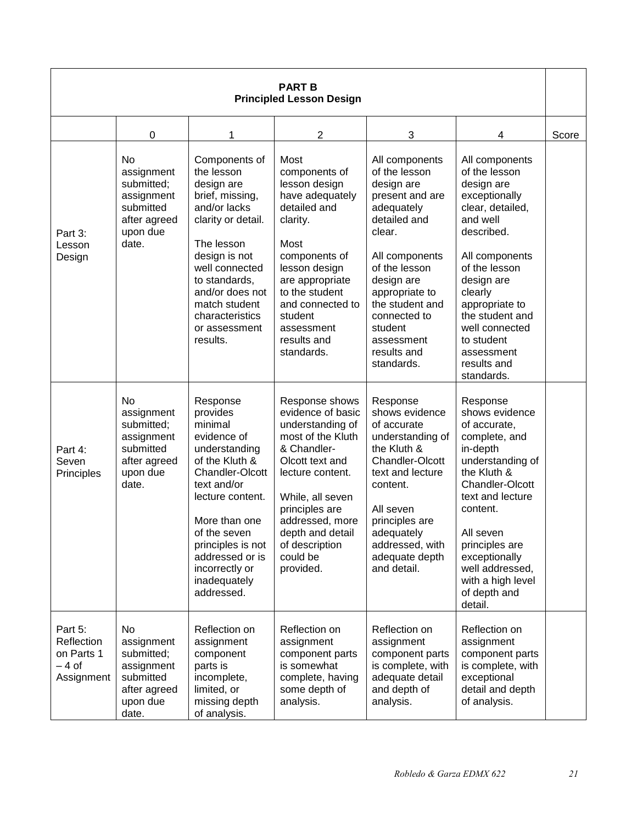| <b>PART B</b><br><b>Principled Lesson Design</b>            |                                                                                                |                                                                                                                                                                                                                                                                  |                                                                                                                                                                                                                                                            |                                                                                                                                                                                                                                                                      |                                                                                                                                                                                                                                                                                          |       |
|-------------------------------------------------------------|------------------------------------------------------------------------------------------------|------------------------------------------------------------------------------------------------------------------------------------------------------------------------------------------------------------------------------------------------------------------|------------------------------------------------------------------------------------------------------------------------------------------------------------------------------------------------------------------------------------------------------------|----------------------------------------------------------------------------------------------------------------------------------------------------------------------------------------------------------------------------------------------------------------------|------------------------------------------------------------------------------------------------------------------------------------------------------------------------------------------------------------------------------------------------------------------------------------------|-------|
|                                                             | $\pmb{0}$                                                                                      | 1                                                                                                                                                                                                                                                                | 2                                                                                                                                                                                                                                                          | 3                                                                                                                                                                                                                                                                    | 4                                                                                                                                                                                                                                                                                        | Score |
| Part 3:<br>Lesson<br>Design                                 | No<br>assignment<br>submitted;<br>assignment<br>submitted<br>after agreed<br>upon due<br>date. | Components of<br>the lesson<br>design are<br>brief, missing,<br>and/or lacks<br>clarity or detail.<br>The lesson<br>design is not<br>well connected<br>to standards.<br>and/or does not<br>match student<br>characteristics<br>or assessment<br>results.         | Most<br>components of<br>lesson design<br>have adequately<br>detailed and<br>clarity.<br>Most<br>components of<br>lesson design<br>are appropriate<br>to the student<br>and connected to<br>student<br>assessment<br>results and<br>standards.             | All components<br>of the lesson<br>design are<br>present and are<br>adequately<br>detailed and<br>clear.<br>All components<br>of the lesson<br>design are<br>appropriate to<br>the student and<br>connected to<br>student<br>assessment<br>results and<br>standards. | All components<br>of the lesson<br>design are<br>exceptionally<br>clear, detailed,<br>and well<br>described.<br>All components<br>of the lesson<br>design are<br>clearly<br>appropriate to<br>the student and<br>well connected<br>to student<br>assessment<br>results and<br>standards. |       |
| Part 4:<br>Seven<br>Principles                              | No<br>assignment<br>submitted;<br>assignment<br>submitted<br>after agreed<br>upon due<br>date. | Response<br>provides<br>minimal<br>evidence of<br>understanding<br>of the Kluth &<br>Chandler-Olcott<br>text and/or<br>lecture content.<br>More than one<br>of the seven<br>principles is not<br>addressed or is<br>incorrectly or<br>inadequately<br>addressed. | Response shows<br>evidence of basic<br>understanding of<br>most of the Kluth<br>& Chandler-<br>Olcott text and<br>lecture content.<br>While, all seven<br>principles are<br>addressed, more<br>depth and detail<br>of description<br>could be<br>provided. | Response<br>shows evidence<br>of accurate<br>understanding of<br>the Kluth &<br>Chandler-Olcott<br>text and lecture<br>content.<br>All seven<br>principles are<br>adequately<br>addressed, with<br>adequate depth<br>and detail.                                     | Response<br>shows evidence<br>of accurate,<br>complete, and<br>in-depth<br>understanding of<br>the Kluth &<br><b>Chandler-Olcott</b><br>text and lecture<br>content.<br>All seven<br>principles are<br>exceptionally<br>well addressed,<br>with a high level<br>of depth and<br>detail.  |       |
| Part 5:<br>Reflection<br>on Parts 1<br>– 4 of<br>Assignment | No<br>assignment<br>submitted;<br>assignment<br>submitted<br>after agreed<br>upon due<br>date. | Reflection on<br>assignment<br>component<br>parts is<br>incomplete,<br>limited, or<br>missing depth<br>of analysis.                                                                                                                                              | Reflection on<br>assignment<br>component parts<br>is somewhat<br>complete, having<br>some depth of<br>analysis.                                                                                                                                            | Reflection on<br>assignment<br>component parts<br>is complete, with<br>adequate detail<br>and depth of<br>analysis.                                                                                                                                                  | Reflection on<br>assignment<br>component parts<br>is complete, with<br>exceptional<br>detail and depth<br>of analysis.                                                                                                                                                                   |       |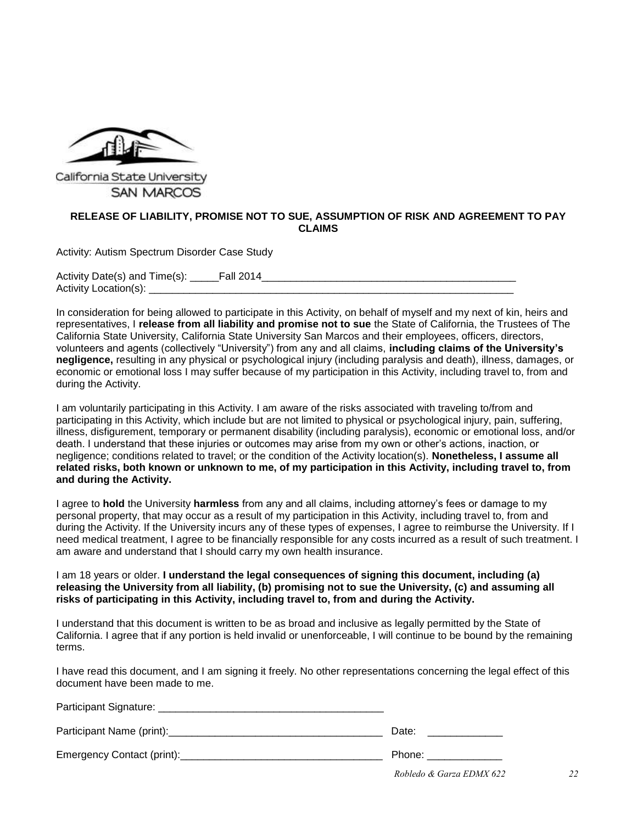

# **SAN MARCOS**

## **RELEASE OF LIABILITY, PROMISE NOT TO SUE, ASSUMPTION OF RISK AND AGREEMENT TO PAY CLAIMS**

Activity: Autism Spectrum Disorder Case Study

Activity Date(s) and Time(s): \_\_\_\_\_\_Fall 2014 Activity Location(s):

In consideration for being allowed to participate in this Activity, on behalf of myself and my next of kin, heirs and representatives, I **release from all liability and promise not to sue** the State of California, the Trustees of The California State University, California State University San Marcos and their employees, officers, directors, volunteers and agents (collectively "University") from any and all claims, **including claims of the University's negligence,** resulting in any physical or psychological injury (including paralysis and death), illness, damages, or economic or emotional loss I may suffer because of my participation in this Activity, including travel to, from and during the Activity.

I am voluntarily participating in this Activity. I am aware of the risks associated with traveling to/from and participating in this Activity, which include but are not limited to physical or psychological injury, pain, suffering, illness, disfigurement, temporary or permanent disability (including paralysis), economic or emotional loss, and/or death. I understand that these injuries or outcomes may arise from my own or other's actions, inaction, or negligence; conditions related to travel; or the condition of the Activity location(s). **Nonetheless, I assume all related risks, both known or unknown to me, of my participation in this Activity, including travel to, from and during the Activity.**

I agree to **hold** the University **harmless** from any and all claims, including attorney's fees or damage to my personal property, that may occur as a result of my participation in this Activity, including travel to, from and during the Activity. If the University incurs any of these types of expenses, I agree to reimburse the University. If I need medical treatment, I agree to be financially responsible for any costs incurred as a result of such treatment. I am aware and understand that I should carry my own health insurance.

I am 18 years or older. **I understand the legal consequences of signing this document, including (a) releasing the University from all liability, (b) promising not to sue the University, (c) and assuming all risks of participating in this Activity, including travel to, from and during the Activity.**

I understand that this document is written to be as broad and inclusive as legally permitted by the State of California. I agree that if any portion is held invalid or unenforceable, I will continue to be bound by the remaining terms.

I have read this document, and I am signing it freely. No other representations concerning the legal effect of this document have been made to me.

| Participant Signature:     |                                                      |
|----------------------------|------------------------------------------------------|
| Participant Name (print):  | Date:                                                |
| Emergency Contact (print): | Phone:                                               |
|                            | <b>PIII</b> PA<br><b><i><u>PP 1.677 / AA</u></i></b> |

*Robledo & Garza EDMX 622 22*